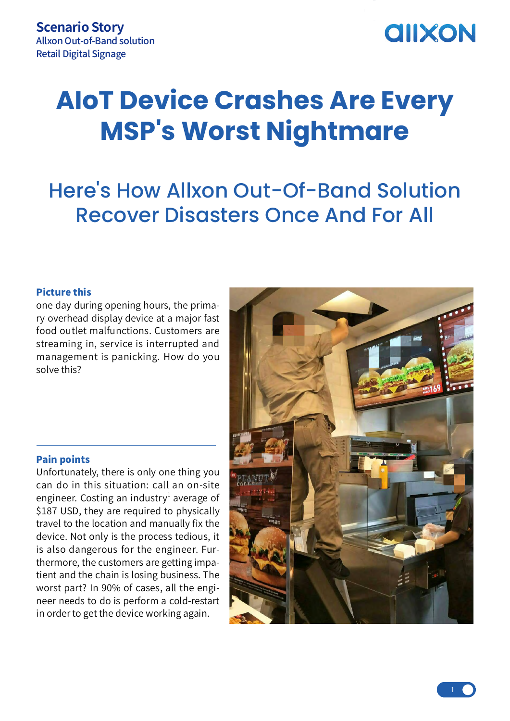## **AIIXON**

# **AIoT Device Crashes Are Every MSP's Worst Nightmare**

### Here's How Allxon Out-Of-Band Solution Recover Disasters Once And For All

#### Picture this

one day during opening hours, the primary overhead display device at a major fast food outlet malfunctions. Customers are streaming in, service is interrupted and management is panicking. How do you solve this?

#### Pain points

Unfortunately, there is only one thing you can do in this situation: call an on-site engineer. Costing an industry<sup>1</sup> average of \$187 USD, they are required to physically travel to the location and manually fix the device. Not only is the process tedious, it is also dangerous for the engineer. Furthermore, the customers are getting impatient and the chain is losing business. The worst part? In 90% of cases, all the engineer needs to do is perform a cold-restart in order to get the device working again.